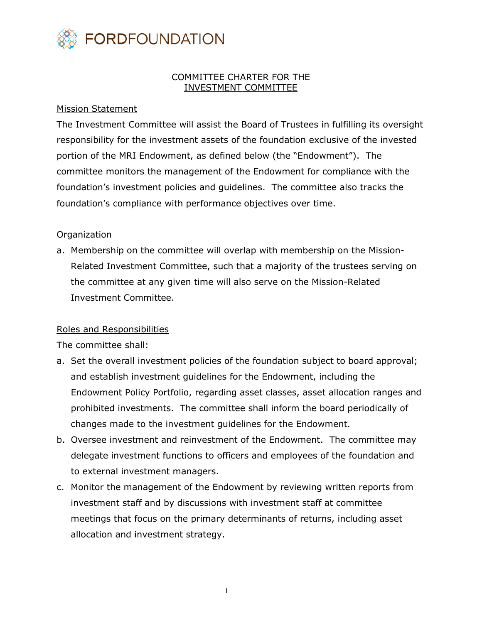

## COMMITTEE CHARTER FOR THE INVESTMENT COMMITTEE

## Mission Statement

The Investment Committee will assist the Board of Trustees in fulfilling its oversight responsibility for the investment assets of the foundation exclusive of the invested portion of the MRI Endowment, as defined below (the "Endowment"). The committee monitors the management of the Endowment for compliance with the foundation's investment policies and guidelines. The committee also tracks the foundation's compliance with performance objectives over time.

## **Organization**

a. Membership on the committee will overlap with membership on the Mission-Related Investment Committee, such that a majority of the trustees serving on the committee at any given time will also serve on the Mission-Related Investment Committee.

## Roles and Responsibilities

The committee shall:

- a. Set the overall investment policies of the foundation subject to board approval; and establish investment guidelines for the Endowment, including the Endowment Policy Portfolio, regarding asset classes, asset allocation ranges and prohibited investments. The committee shall inform the board periodically of changes made to the investment guidelines for the Endowment.
- b. Oversee investment and reinvestment of the Endowment. The committee may delegate investment functions to officers and employees of the foundation and to external investment managers.
- c. Monitor the management of the Endowment by reviewing written reports from investment staff and by discussions with investment staff at committee meetings that focus on the primary determinants of returns, including asset allocation and investment strategy.

1